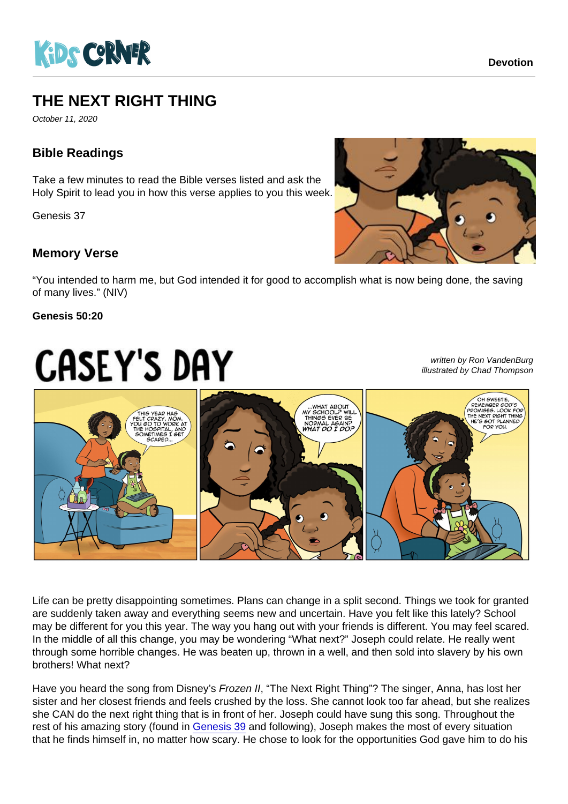## THE NEXT RIGHT THING

October 11, 2020

## Bible Readings

Take a few minutes to read the Bible verses listed and ask the Holy Spirit to lead you in how this verse applies to you this week.

Genesis 37

## Memory Verse

"You intended to harm me, but God intended it for good to accomplish what is now being done, the saving of many lives." (NIV)

Genesis 50:20

written by Ron VandenBurg illustrated by Chad Thompson

Life can be pretty disappointing sometimes. Plans can change in a split second. Things we took for granted are suddenly taken away and everything seems new and uncertain. Have you felt like this lately? School may be different for you this year. The way you hang out with your friends is different. You may feel scared. In the middle of all this change, you may be wondering "What next?" Joseph could relate. He really went through some horrible changes. He was beaten up, thrown in a well, and then sold into slavery by his own brothers! What next?

Have you heard the song from Disney's Frozen II, "The Next Right Thing"? The singer, Anna, has lost her sister and her closest friends and feels crushed by the loss. She cannot look too far ahead, but she realizes she CAN do the next right thing that is in front of her. Joseph could have sung this song. Throughout the rest of his amazing story (found in [Genesis 39](https://www.biblegateway.com/passage/?search=Genesis 39&version=NIV) and following), Joseph makes the most of every situation that he finds himself in, no matter how scary. He chose to look for the opportunities God gave him to do his